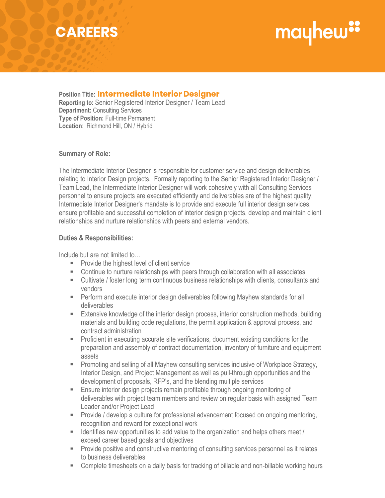## **CAREERS**

# mayhew"

**Position Title: Intermediate Interior Designer Intermediate Interior Designer Reporting to:** Senior Registered Interior Designer / Team Lead **Department:** Consulting Services **Type of Position:** Full-time Permanent **Location**: Richmond Hill, ON / Hybrid

#### **Summary of Role:**

The Intermediate Interior Designer is responsible for customer service and design deliverables relating to Interior Design projects. Formally reporting to the Senior Registered Interior Designer / Team Lead, the Intermediate Interior Designer will work cohesively with all Consulting Services personnel to ensure projects are executed efficiently and deliverables are of the highest quality. Intermediate Interior Designer's mandate is to provide and execute full interior design services, ensure profitable and successful completion of interior design projects, develop and maintain client relationships and nurture relationships with peers and external vendors.

#### **Duties & Responsibilities:**

Include but are not limited to…

- **Provide the highest level of client service**
- Continue to nurture relationships with peers through collaboration with all associates
- Cultivate / foster long term continuous business relationships with clients, consultants and vendors
- **Perform and execute interior design deliverables following Mayhew standards for all** deliverables
- Extensive knowledge of the interior design process, interior construction methods, building materials and building code regulations, the permit application & approval process, and contract administration
- Proficient in executing accurate site verifications, document existing conditions for the preparation and assembly of contract documentation, inventory of furniture and equipment assets
- Promoting and selling of all Mayhew consulting services inclusive of Workplace Strategy, Interior Design, and Project Management as well as pull-through opportunities and the development of proposals, RFP's, and the blending multiple services
- **Ensure interior design projects remain profitable through ongoing monitoring of** deliverables with project team members and review on regular basis with assigned Team Leader and/or Project Lead
- Provide / develop a culture for professional advancement focused on ongoing mentoring, recognition and reward for exceptional work
- Identifies new opportunities to add value to the organization and helps others meet / exceed career based goals and objectives
- **Provide positive and constructive mentoring of consulting services personnel as it relates** to business deliverables
- Complete timesheets on a daily basis for tracking of billable and non-billable working hours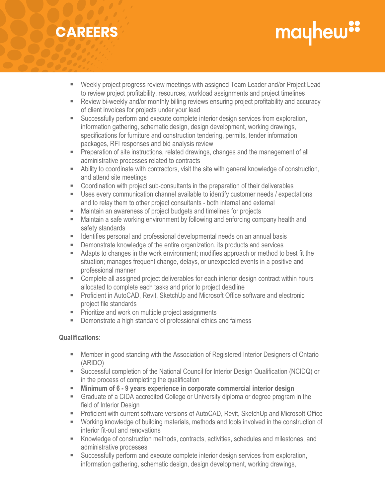## **CAREERS**

# mayhew"

- Weekly project progress review meetings with assigned Team Leader and/or Project Lead to review project profitability, resources, workload assignments and project timelines
- Review bi-weekly and/or monthly billing reviews ensuring project profitability and accuracy of client invoices for projects under your lead
- Successfully perform and execute complete interior design services from exploration, information gathering, schematic design, design development, working drawings, specifications for furniture and construction tendering, permits, tender information packages, RFI responses and bid analysis review
- **Preparation of site instructions, related drawings, changes and the management of all** administrative processes related to contracts
- Ability to coordinate with contractors, visit the site with general knowledge of construction, and attend site meetings
- Coordination with project sub-consultants in the preparation of their deliverables
- Uses every communication channel available to identify customer needs / expectations and to relay them to other project consultants - both internal and external
- Maintain an awareness of project budgets and timelines for projects
- Maintain a safe working environment by following and enforcing company health and safety standards
- **IDENTIFIER 19 IDENTIFIES personal and professional developmental needs on an annual basis**
- **EXECT** Demonstrate knowledge of the entire organization, its products and services
- Adapts to changes in the work environment; modifies approach or method to best fit the situation; manages frequent change, delays, or unexpected events in a positive and professional manner
- Complete all assigned project deliverables for each interior design contract within hours allocated to complete each tasks and prior to project deadline
- Proficient in AutoCAD, Revit, SketchUp and Microsoft Office software and electronic project file standards
- **Prioritize and work on multiple project assignments**
- Demonstrate a high standard of professional ethics and fairness

### **Qualifications:**

- Member in good standing with the Association of Registered Interior Designers of Ontario (ARIDO)
- Successful completion of the National Council for Interior Design Qualification (NCIDQ) or in the process of completing the qualification
- **Minimum of 6 - 9 years experience in corporate commercial interior design**
- Graduate of a CIDA accredited College or University diploma or degree program in the field of Interior Design
- Proficient with current software versions of AutoCAD, Revit, SketchUp and Microsoft Office
- Working knowledge of building materials, methods and tools involved in the construction of interior fit-out and renovations
- Knowledge of construction methods, contracts, activities, schedules and milestones, and administrative processes
- Successfully perform and execute complete interior design services from exploration, information gathering, schematic design, design development, working drawings,